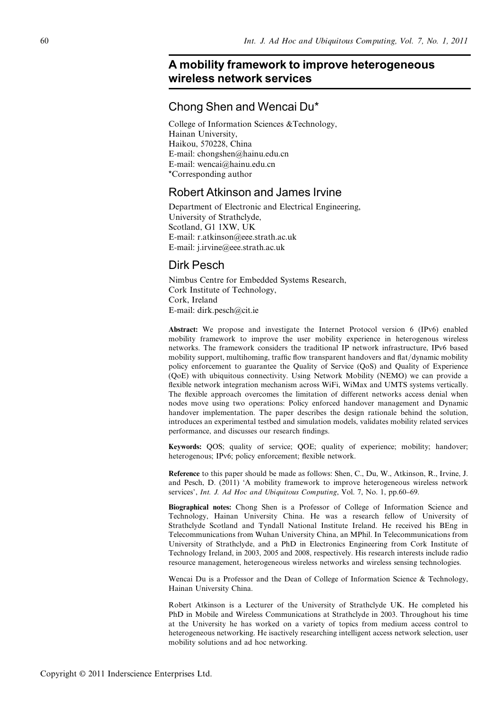# **A mobility framework to improve heterogeneous wireless network services**

# Chong Shen and Wencai Du\*

College of Information Sciences &Technology, Hainan University, Haikou, 570228, China E-mail: chongshen@hainu.edu.cn E-mail: wencai@hainu.edu.cn \*Corresponding author

# Robert Atkinson and James Irvine

Department of Electronic and Electrical Engineering, University of Strathclyde, Scotland, G1 1XW, UK E-mail: r.atkinson@eee.strath.ac.uk E-mail: j.irvine@eee.strath.ac.uk

### Dirk Pesch

Nimbus Centre for Embedded Systems Research, Cork Institute of Technology, Cork, Ireland E-mail: dirk.pesch@cit.ie

**Abstract:** We propose and investigate the Internet Protocol version 6 (IPv6) enabled mobility framework to improve the user mobility experience in heterogenous wireless networks. The framework considers the traditional IP network infrastructure, IPv6 based mobility support, multihoming, traffic flow transparent handovers and flat/dynamic mobility policy enforcement to guarantee the Quality of Service (QoS) and Quality of Experience (QoE) with ubiquitous connectivity. Using Network Mobility (NEMO) we can provide a flexible network integration mechanism across WiFi, WiMax and UMTS systems vertically. The flexible approach overcomes the limitation of different networks access denial when nodes move using two operations: Policy enforced handover management and Dynamic handover implementation. The paper describes the design rationale behind the solution, introduces an experimental testbed and simulation models, validates mobility related services performance, and discusses our research findings.

**Keywords:** QOS; quality of service; QOE; quality of experience; mobility; handover; heterogenous; IPv6; policy enforcement; flexible network.

**Reference** to this paper should be made as follows: Shen, C., Du, W., Atkinson, R., Irvine, J. and Pesch, D. (2011) 'A mobility framework to improve heterogeneous wireless network services', *Int. J. Ad Hoc and Ubiquitous Computing*, Vol. 7, No. 1, pp.60–69.

**Biographical notes:** Chong Shen is a Professor of College of Information Science and Technology, Hainan University China. He was a research fellow of University of Strathclyde Scotland and Tyndall National Institute Ireland. He received his BEng in Telecommunications from Wuhan University China, an MPhil. In Telecommunications from University of Strathclyde, and a PhD in Electronics Engineering from Cork Institute of Technology Ireland, in 2003, 2005 and 2008, respectively. His research interests include radio resource management, heterogeneous wireless networks and wireless sensing technologies.

Wencai Du is a Professor and the Dean of College of Information Science & Technology, Hainan University China.

Robert Atkinson is a Lecturer of the University of Strathclyde UK. He completed his PhD in Mobile and Wireless Communications at Strathclyde in 2003. Throughout his time at the University he has worked on a variety of topics from medium access control to heterogeneous networking. He isactively researching intelligent access network selection, user mobility solutions and ad hoc networking.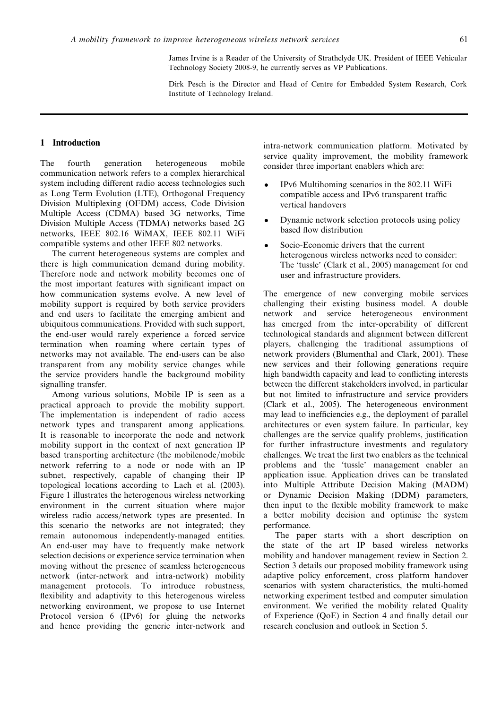James Irvine is a Reader of the University of Strathclyde UK. President of IEEE Vehicular Technology Society 2008-9, he currently serves as VP Publications.

Dirk Pesch is the Director and Head of Centre for Embedded System Research, Cork Institute of Technology Ireland.

### **1 Introduction**

The fourth generation heterogeneous mobile communication network refers to a complex hierarchical system including different radio access technologies such as Long Term Evolution (LTE), Orthogonal Frequency Division Multiplexing (OFDM) access, Code Division Multiple Access (CDMA) based 3G networks, Time Division Multiple Access (TDMA) networks based 2G networks, IEEE 802.16 WiMAX, IEEE 802.11 WiFi compatible systems and other IEEE 802 networks.

The current heterogeneous systems are complex and there is high communication demand during mobility. Therefore node and network mobility becomes one of the most important features with significant impact on how communication systems evolve. A new level of mobility support is required by both service providers and end users to facilitate the emerging ambient and ubiquitous communications. Provided with such support, the end-user would rarely experience a forced service termination when roaming where certain types of networks may not available. The end-users can be also transparent from any mobility service changes while the service providers handle the background mobility signalling transfer.

Among various solutions, Mobile IP is seen as a practical approach to provide the mobility support. The implementation is independent of radio access network types and transparent among applications. It is reasonable to incorporate the node and network mobility support in the context of next generation IP based transporting architecture (the mobilenode/mobile network referring to a node or node with an IP subnet, respectively, capable of changing their IP topological locations according to Lach et al. (2003). Figure 1 illustrates the heterogenous wireless networking environment in the current situation where major wireless radio access/network types are presented. In this scenario the networks are not integrated; they remain autonomous independently-managed entities. An end-user may have to frequently make network selection decisions or experience service termination when moving without the presence of seamless heterogeneous network (inter-network and intra-network) mobility management protocols. To introduce robustness, flexibility and adaptivity to this heterogenous wireless networking environment, we propose to use Internet Protocol version 6 (IPv6) for gluing the networks and hence providing the generic inter-network and intra-network communication platform. Motivated by service quality improvement, the mobility framework consider three important enablers which are:

- IPv6 Multihoming scenarios in the 802.11 WiFi compatible access and IPv6 transparent traffic vertical handovers
- Dynamic network selection protocols using policy based flow distribution
- Socio-Economic drivers that the current heterogenous wireless networks need to consider: The 'tussle' (Clark et al., 2005) management for end user and infrastructure providers.

The emergence of new converging mobile services challenging their existing business model. A double network and service heterogeneous environment has emerged from the inter-operability of different technological standards and alignment between different players, challenging the traditional assumptions of network providers (Blumenthal and Clark, 2001). These new services and their following generations require high bandwidth capacity and lead to conflicting interests between the different stakeholders involved, in particular but not limited to infrastructure and service providers (Clark et al., 2005). The heterogeneous environment may lead to inefficiencies e.g., the deployment of parallel architectures or even system failure. In particular, key challenges are the service qualify problems, justification for further infrastructure investments and regulatory challenges. We treat the first two enablers as the technical problems and the 'tussle' management enabler an application issue. Application drives can be translated into Multiple Attribute Decision Making (MADM) or Dynamic Decision Making (DDM) parameters, then input to the flexible mobility framework to make a better mobility decision and optimise the system performance.

The paper starts with a short description on the state of the art IP based wireless networks mobility and handover management review in Section 2. Section 3 details our proposed mobility framework using adaptive policy enforcement, cross platform handover scenarios with system characteristics, the multi-homed networking experiment testbed and computer simulation environment. We verified the mobility related Quality of Experience (QoE) in Section 4 and finally detail our research conclusion and outlook in Section 5.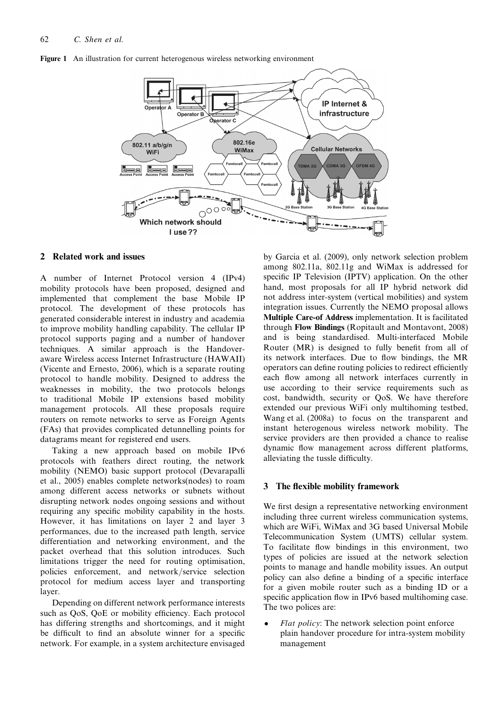**Figure 1** An illustration for current heterogenous wireless networking environment



### **2 Related work and issues**

A number of Internet Protocol version 4 (IPv4) mobility protocols have been proposed, designed and implemented that complement the base Mobile IP protocol. The development of these protocols has generated considerable interest in industry and academia to improve mobility handling capability. The cellular IP protocol supports paging and a number of handover techniques. A similar approach is the Handoveraware Wireless access Internet Infrastructure (HAWAII) (Vicente and Ernesto, 2006), which is a separate routing protocol to handle mobility. Designed to address the weaknesses in mobility, the two protocols belongs to traditional Mobile IP extensions based mobility management protocols. All these proposals require routers on remote networks to serve as Foreign Agents (FAs) that provides complicated detunnelling points for datagrams meant for registered end users.

Taking a new approach based on mobile IPv6 protocols with feathers direct routing, the network mobility (NEMO) basic support protocol (Devarapalli et al., 2005) enables complete networks(nodes) to roam among different access networks or subnets without disrupting network nodes ongoing sessions and without requiring any specific mobility capability in the hosts. However, it has limitations on layer 2 and layer 3 performances, due to the increased path length, service differentiation and networking environment, and the packet overhead that this solution introduces. Such limitations trigger the need for routing optimisation, policies enforcement, and network/service selection protocol for medium access layer and transporting layer.

Depending on different network performance interests such as QoS, QoE or mobility efficiency. Each protocol has differing strengths and shortcomings, and it might be difficult to find an absolute winner for a specific network. For example, in a system architecture envisaged

by Garcia et al. (2009), only network selection problem among 802.11a, 802.11g and WiMax is addressed for specific IP Television (IPTV) application. On the other hand, most proposals for all IP hybrid network did not address inter-system (vertical mobilities) and system integration issues. Currently the NEMO proposal allows **Multiple Care-of Address** implementation. It is facilitated through **Flow Bindings** (Ropitault and Montavont, 2008) and is being standardised. Multi-interfaced Mobile Router (MR) is designed to fully benefit from all of its network interfaces. Due to flow bindings, the MR operators can define routing policies to redirect efficiently each flow among all network interfaces currently in use according to their service requirements such as cost, bandwidth, security or QoS. We have therefore extended our previous WiFi only multihoming testbed, Wang et al. (2008a) to focus on the transparent and instant heterogenous wireless network mobility. The service providers are then provided a chance to realise dynamic flow management across different platforms, alleviating the tussle difficulty.

#### **3 The flexible mobility framework**

We first design a representative networking environment including three current wireless communication systems, which are WiFi, WiMax and 3G based Universal Mobile Telecommunication System (UMTS) cellular system. To facilitate flow bindings in this environment, two types of policies are issued at the network selection points to manage and handle mobility issues. An output policy can also define a binding of a specific interface for a given mobile router such as a binding ID or a specific application flow in IPv6 based multihoming case. The two polices are:

*Flat policy*: The network selection point enforce plain handover procedure for intra-system mobility management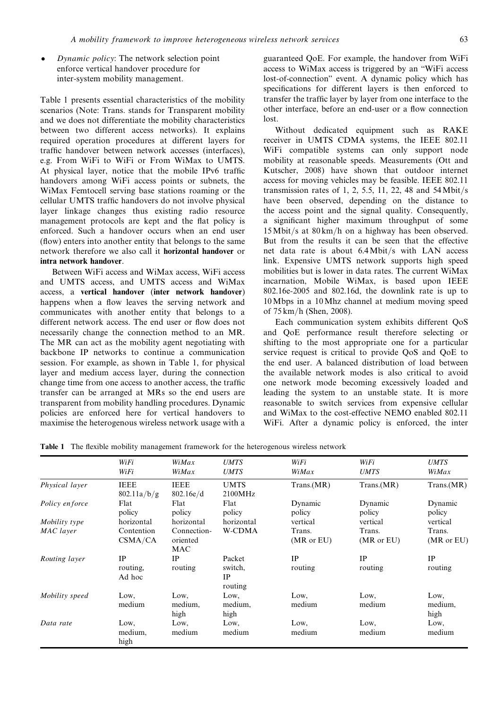• *Dynamic policy*: The network selection point enforce vertical handover procedure for inter-system mobility management.

Table 1 presents essential characteristics of the mobility scenarios (Note: Trans. stands for Transparent mobility and we does not differentiate the mobility characteristics between two different access networks). It explains required operation procedures at different layers for traffic handover between network accesses (interfaces), e.g. From WiFi to WiFi or From WiMax to UMTS. At physical layer, notice that the mobile IPv6 traffic handovers among WiFi access points or subnets, the WiMax Femtocell serving base stations roaming or the cellular UMTS traffic handovers do not involve physical layer linkage changes thus existing radio resource management protocols are kept and the flat policy is enforced. Such a handover occurs when an end user (flow) enters into another entity that belongs to the same network therefore we also call it **horizontal handover** or **intra network handover**.

Between WiFi access and WiMax access, WiFi access and UMTS access, and UMTS access and WiMax access, a **vertical handover** (**inter network handover**) happens when a flow leaves the serving network and communicates with another entity that belongs to a different network access. The end user or flow does not necessarily change the connection method to an MR. The MR can act as the mobility agent negotiating with backbone IP networks to continue a communication session. For example, as shown in Table 1, for physical layer and medium access layer, during the connection change time from one access to another access, the traffic transfer can be arranged at MRs so the end users are transparent from mobility handling procedures. Dynamic policies are enforced here for vertical handovers to maximise the heterogenous wireless network usage with a

guaranteed QoE. For example, the handover from WiFi access to WiMax access is triggered by an "WiFi access lost-of-connection" event. A dynamic policy which has specifications for different layers is then enforced to transfer the traffic layer by layer from one interface to the other interface, before an end-user or a flow connection  $l$ ost.

Without dedicated equipment such as RAKE receiver in UMTS CDMA systems, the IEEE 802.11 WiFi compatible systems can only support node mobility at reasonable speeds. Measurements (Ott and Kutscher, 2008) have shown that outdoor internet access for moving vehicles may be feasible. IEEE 802.11 transmission rates of 1, 2, 5.5, 11, 22, 48 and 54Mbit/s have been observed, depending on the distance to the access point and the signal quality. Consequently, a significant higher maximum throughput of some 15Mbit/s at 80 km/h on a highway has been observed. But from the results it can be seen that the effective net data rate is about 6.4Mbit/s with LAN access link. Expensive UMTS network supports high speed mobilities but is lower in data rates. The current WiMax incarnation, Mobile WiMax, is based upon IEEE 802.16e-2005 and 802.16d, the downlink rate is up to 10Mbps in a 10Mhz channel at medium moving speed of 75 km/h (Shen, 2008).

Each communication system exhibits different QoS and QoE performance result therefore selecting or shifting to the most appropriate one for a particular service request is critical to provide QoS and QoE to the end user. A balanced distribution of load between the available network modes is also critical to avoid one network mode becoming excessively loaded and leading the system to an unstable state. It is more reasonable to switch services from expensive cellular and WiMax to the cost-effective NEMO enabled 802.11 WiFi. After a dynamic policy is enforced, the inter

|                | WiFi<br>WiFi                    | WiMax<br>WiMax                        | <b>UMTS</b><br><b>UMTS</b>                | WiFi<br>WiMax                   | WiFi<br><b>UMTS</b>             | <b>UMTS</b><br>WiMax            |
|----------------|---------------------------------|---------------------------------------|-------------------------------------------|---------------------------------|---------------------------------|---------------------------------|
| Physical layer | <b>IEEE</b><br>802.11a/b/g      | <b>IEEE</b><br>802.16e/d              | <b>UMTS</b><br>2100MHz                    | Trans(MR)                       | Trans(MR)                       | Trans(MR)                       |
| Policy enforce | Flat<br>policy                  | Flat<br>policy                        | Flat<br>policy                            | Dynamic<br>policy               | Dynamic<br>policy               | Dynamic<br>policy               |
| Mobility type  | horizontal                      | horizontal                            | horizontal                                | vertical                        | vertical                        | vertical                        |
| MAC layer      | Contention<br>CSMA/CA           | Connection-<br>oriented<br><b>MAC</b> | W-CDMA                                    | Trans.<br>$(MR \text{ or } EU)$ | Trans.<br>$(MR \text{ or } EU)$ | Trans.<br>$(MR \text{ or } EU)$ |
| Routing layer  | <b>IP</b><br>routing,<br>Ad hoc | <b>IP</b><br>routing                  | Packet<br>switch.<br><b>IP</b><br>routing | <b>IP</b><br>routing            | <b>IP</b><br>routing            | <b>IP</b><br>routing            |
| Mobility speed | Low,<br>medium                  | Low,<br>medium,<br>high               | Low,<br>medium,<br>high                   | Low,<br>medium                  | Low,<br>medium                  | Low,<br>medium,<br>high         |
| Data rate      | Low,<br>medium,<br>high         | Low,<br>medium                        | Low,<br>medium                            | Low,<br>medium                  | Low,<br>medium                  | Low,<br>medium                  |

**Table 1** The flexible mobility management framework for the heterogenous wireless network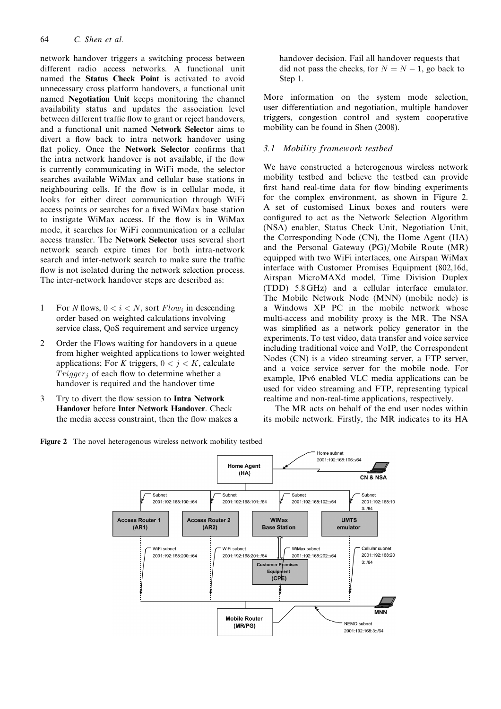network handover triggers a switching process between different radio access networks. A functional unit named the **Status Check Point** is activated to avoid unnecessary cross platform handovers, a functional unit named **Negotiation Unit** keeps monitoring the channel availability status and updates the association level between different traffic flow to grant or reject handovers, and a functional unit named **Network Selector** aims to divert a flow back to intra network handover using flat policy. Once the **Network Selector** confirms that the intra network handover is not available, if the flow is currently communicating in WiFi mode, the selector searches available WiMax and cellular base stations in neighbouring cells. If the flow is in cellular mode, it looks for either direct communication through WiFi access points or searches for a fixed WiMax base station to instigate WiMax access. If the flow is in WiMax mode, it searches for WiFi communication or a cellular access transfer. The **Network Selector** uses several short network search expire times for both intra-network search and inter-network search to make sure the traffic flow is not isolated during the network selection process. The inter-network handover steps are described as:

- 1 For *N* flows,  $0 < i < N$ , sort *Flow<sub>i</sub>* in descending order based on weighted calculations involving service class, OoS requirement and service urgency
- 2 Order the Flows waiting for handovers in a queue from higher weighted applications to lower weighted applications; For *K* triggers,  $0 < j < K$ , calculate  $Trigger<sub>i</sub>$  of each flow to determine whether a handover is required and the handover time
- 3 Try to divert the flow session to **Intra Network Handover** before **Inter Network Handover**. Check the media access constraint, then the flow makes a

handover decision. Fail all handover requests that did not pass the checks, for  $N = N - 1$ , go back to Step 1.

More information on the system mode selection, user differentiation and negotiation, multiple handover triggers, congestion control and system cooperative mobility can be found in Shen (2008).

### *3.1 Mobility framework testbed*

We have constructed a heterogenous wireless network mobility testbed and believe the testbed can provide first hand real-time data for flow binding experiments for the complex environment, as shown in Figure 2. A set of customised Linux boxes and routers were configured to act as the Network Selection Algorithm (NSA) enabler, Status Check Unit, Negotiation Unit, the Corresponding Node (CN), the Home Agent (HA) and the Personal Gateway (PG)/Mobile Route (MR) equipped with two WiFi interfaces, one Airspan WiMax interface with Customer Promises Equipment (802,16d, Airspan MicroMAXd model, Time Division Duplex (TDD) 5.8GHz) and a cellular interface emulator. The Mobile Network Node (MNN) (mobile node) is a Windows XP PC in the mobile network whose multi-access and mobility proxy is the MR. The NSA was simplified as a network policy generator in the experiments. To test video, data transfer and voice service including traditional voice and VoIP, the Correspondent Nodes (CN) is a video streaming server, a FTP server, and a voice service server for the mobile node. For example, IPv6 enabled VLC media applications can be used for video streaming and FTP, representing typical realtime and non-real-time applications, respectively.

The MR acts on behalf of the end user nodes within its mobile network. Firstly, the MR indicates to its HA



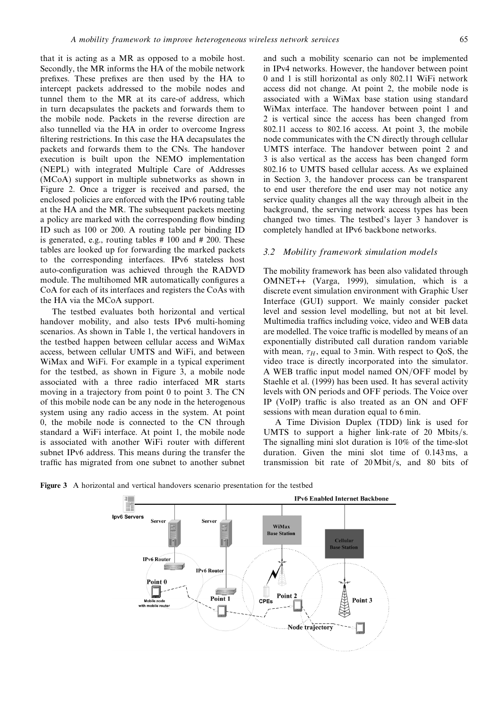that it is acting as a MR as opposed to a mobile host. Secondly, the MR informs the HA of the mobile network prefixes. These prefixes are then used by the HA to intercept packets addressed to the mobile nodes and tunnel them to the MR at its care-of address, which in turn decapsulates the packets and forwards them to the mobile node. Packets in the reverse direction are also tunnelled via the HA in order to overcome Ingress filtering restrictions. In this case the HA decapsulates the packets and forwards them to the CNs. The handover execution is built upon the NEMO implementation (NEPL) with integrated Multiple Care of Addresses (MCoA) support in multiple subnetworks as shown in Figure 2. Once a trigger is received and parsed, the enclosed policies are enforced with the IPv6 routing table at the HA and the MR. The subsequent packets meeting a policy are marked with the corresponding flow binding ID such as 100 or 200. A routing table per binding ID is generated, e.g., routing tables # 100 and # 200. These tables are looked up for forwarding the marked packets to the corresponding interfaces. IPv6 stateless host auto-configuration was achieved through the RADVD module. The multihomed MR automatically configures a CoA for each of its interfaces and registers the CoAs with the HA via the MCoA support.

The testbed evaluates both horizontal and vertical handover mobility, and also tests IPv6 multi-homing scenarios. As shown in Table 1, the vertical handovers in the testbed happen between cellular access and WiMax access, between cellular UMTS and WiFi, and between WiMax and WiFi. For example in a typical experiment for the testbed, as shown in Figure 3, a mobile node associated with a three radio interfaced MR starts moving in a trajectory from point 0 to point 3. The CN of this mobile node can be any node in the heterogenous system using any radio access in the system. At point 0, the mobile node is connected to the CN through standard a WiFi interface. At point 1, the mobile node is associated with another WiFi router with different subnet IPv6 address. This means during the transfer the traffic has migrated from one subnet to another subnet

and such a mobility scenario can not be implemented in IPv4 networks. However, the handover between point 0 and 1 is still horizontal as only 802.11 WiFi network access did not change. At point 2, the mobile node is associated with a WiMax base station using standard WiMax interface. The handover between point 1 and 2 is vertical since the access has been changed from 802.11 access to 802.16 access. At point 3, the mobile node communicates with the CN directly through cellular UMTS interface. The handover between point 2 and 3 is also vertical as the access has been changed form 802.16 to UMTS based cellular access. As we explained in Section 3, the handover process can be transparent to end user therefore the end user may not notice any service quality changes all the way through albeit in the background, the serving network access types has been changed two times. The testbed's layer 3 handover is completely handled at IPv6 backbone networks.

#### *3.2 Mobility framework simulation models*

The mobility framework has been also validated through OMNET++ (Varga, 1999), simulation, which is a discrete event simulation environment with Graphic User Interface (GUI) support. We mainly consider packet level and session level modelling, but not at bit level. Multimedia traffics including voice, video and WEB data are modelled. The voice traffic is modelled by means of an exponentially distributed call duration random variable with mean,  $\tau_H$ , equal to 3 min. With respect to QoS, the video trace is directly incorporated into the simulator. A WEB traffic input model named ON/OFF model by Staehle et al. (1999) has been used. It has several activity levels with ON periods and OFF periods. The Voice over IP (VoIP) traffic is also treated as an ON and OFF sessions with mean duration equal to 6min.

A Time Division Duplex (TDD) link is used for UMTS to support a higher link-rate of 20 Mbits/s. The signalling mini slot duration is 10% of the time-slot duration. Given the mini slot time of 0.143ms, a transmission bit rate of 20Mbit/s, and 80 bits of



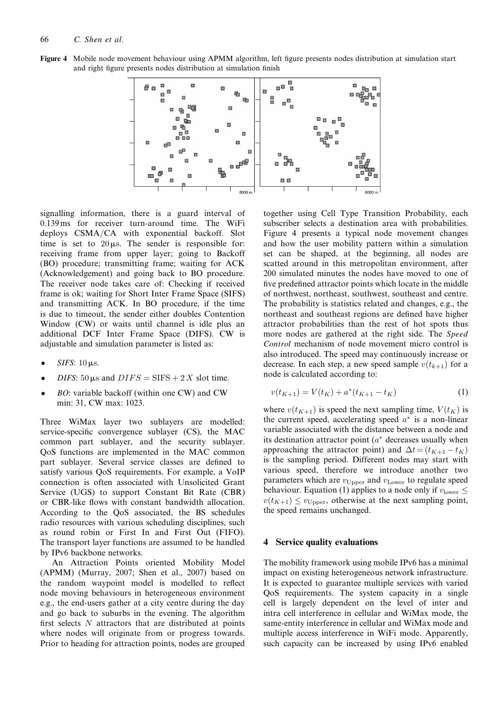



signalling information, there is a guard interval of 0.139ms for receiver turn-around time. The WiFi deploys CSMA/CA with exponential backoff. Slot time is set to  $20 \mu s$ . The sender is responsible for: receiving frame from upper layer; going to Backoff (BO) procedure; transmitting frame; waiting for ACK (Acknowledgement) and going back to BO procedure. The receiver node takes care of: Checking if received frame is ok; waiting for Short Inter Frame Space (SIFS) and transmitting ACK. In BO procedure, if the time is due to timeout, the sender either doubles Contention Window (CW) or waits until channel is idle plus an additional DCF Inter Frame Space (DIFS). CW is adjustable and simulation parameter is listed as:

- *SIFS*:  $10 \mu s$ .
- *DIFS*:  $50 \,\mu s$  and  $DIFS = SIFS + 2X$  slot time.
- *BO*: variable backoff (within one CW) and CW min: 31, CW max: 1023.

Three WiMax layer two sublayers are modelled: service-specific convergence sublayer (CS), the MAC common part sublayer, and the security sublayer. QoS functions are implemented in the MAC common part sublayer. Several service classes are defined to satisfy various QoS requirements. For example, a VoIP connection is often associated with Unsolicited Grant Service (UGS) to support Constant Bit Rate (CBR) or CBR-like flows with constant bandwidth allocation. According to the QoS associated, the BS schedules radio resources with various scheduling disciplines, such as round robin or First In and First Out (FIFO). The transport layer functions are assumed to be handled by IPv6 backbone networks.

An Attraction Points oriented Mobility Model (APMM) (Murray, 2007; Shen et al., 2007) based on the random waypoint model is modelled to reflect node moving behaviours in heterogeneous environment e.g., the end-users gather at a city centre during the day and go back to suburbs in the evening. The algorithm first selects  $N$  attractors that are distributed at points where nodes will originate from or progress towards. Prior to heading for attraction points, nodes are grouped together using Cell Type Transition Probability, each subscriber selects a destination area with probabilities. Figure 4 presents a typical node movement changes and how the user mobility pattern within a simulation set can be shaped, at the beginning, all nodes are scatted around in this metropolitan environment, after 200 simulated minutes the nodes have moved to one of five predefined attractor points which locate in the middle of northwest, northeast, southwest, southeast and centre. The probability is statistics related and changes, e.g., the northeast and southeast regions are defined have higher attractor probabilities than the rest of hot spots thus more nodes are gathered at the right side. The *Speed Control* mechanism of node movement micro control is also introduced. The speed may continuously increase or decrease. In each step, a new speed sample  $v(t_{k+1})$  for a node is calculated according to:

$$
v(t_{K+1}) = V(t_K) + a^*(t_{K+1} - t_K)
$$
\n(1)

where  $v(t_{K+1})$  is speed the next sampling time,  $V(t_K)$  is the current speed, accelerating speed  $a^*$  is a non-linear variable associated with the distance between a node and its destination attractor point  $(a^*$  decreases usually when approaching the attractor point) and  $\Delta t = (t_{K+1} - t_K)$ is the sampling period. Different nodes may start with various speed, therefore we introduce another two parameters which are  $v_{\text{Upper}}$  and  $v_{\text{Lower}}$  to regulate speed behaviour. Equation (1) applies to a node only if  $v_{\text{lower}} \leq$  $v(t_{K+1}) \le v_{\text{Upper}}$ , otherwise at the next sampling point, the speed remains unchanged.

#### **4 Service quality evaluations**

The mobility framework using mobile IPv6 has a minimal impact on existing heterogeneous network infrastructure. It is expected to guarantee multiple services with varied QoS requirements. The system capacity in a single cell is largely dependent on the level of inter and intra cell interference in cellular and WiMax mode, the same-entity interference in cellular and WiMax mode and multiple access interference in WiFi mode. Apparently, such capacity can be increased by using IPv6 enabled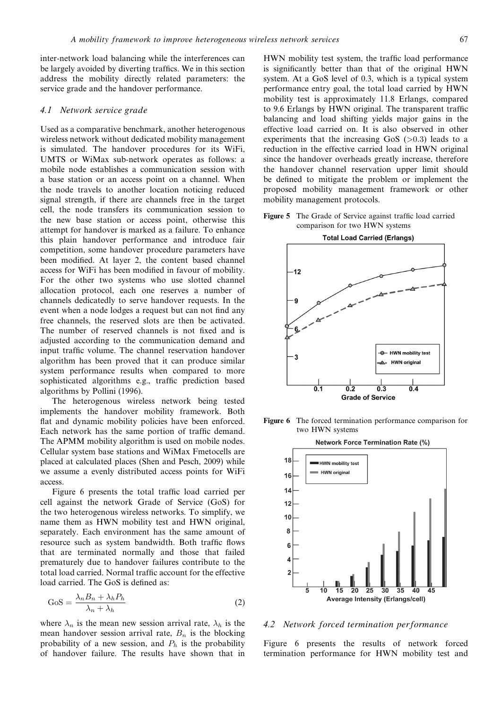inter-network load balancing while the interferences can be largely avoided by diverting traffics. We in this section address the mobility directly related parameters: the service grade and the handover performance.

#### *4.1 Network service grade*

Used as a comparative benchmark, another heterogenous wireless network without dedicated mobility management is simulated. The handover procedures for its WiFi, UMTS or WiMax sub-network operates as follows: a mobile node establishes a communication session with a base station or an access point on a channel. When the node travels to another location noticing reduced signal strength, if there are channels free in the target cell, the node transfers its communication session to the new base station or access point, otherwise this attempt for handover is marked as a failure. To enhance this plain handover performance and introduce fair competition, some handover procedure parameters have been modified. At layer 2, the content based channel access for WiFi has been modified in favour of mobility. For the other two systems who use slotted channel allocation protocol, each one reserves a number of channels dedicatedly to serve handover requests. In the event when a node lodges a request but can not find any free channels, the reserved slots are then be activated. The number of reserved channels is not fixed and is adjusted according to the communication demand and input traffic volume. The channel reservation handover algorithm has been proved that it can produce similar system performance results when compared to more sophisticated algorithms e.g., traffic prediction based algorithms by Pollini (1996).

The heterogenous wireless network being tested implements the handover mobility framework. Both flat and dynamic mobility policies have been enforced. Each network has the same portion of traffic demand. The APMM mobility algorithm is used on mobile nodes. Cellular system base stations and WiMax Fmetocells are placed at calculated places (Shen and Pesch, 2009) while we assume a evenly distributed access points for WiFi access.

Figure 6 presents the total traffic load carried per cell against the network Grade of Service (GoS) for the two heterogenous wireless networks. To simplify, we name them as HWN mobility test and HWN original, separately. Each environment has the same amount of resource such as system bandwidth. Both traffic flows that are terminated normally and those that failed prematurely due to handover failures contribute to the total load carried. Normal traffic account for the effective load carried. The GoS is defined as:

$$
Gos = \frac{\lambda_n B_n + \lambda_h P_h}{\lambda_n + \lambda_h} \tag{2}
$$

where  $\lambda_n$  is the mean new session arrival rate,  $\lambda_h$  is the mean handover session arrival rate,  $B_n$  is the blocking probability of a new session, and  $P_h$  is the probability of handover failure. The results have shown that in HWN mobility test system, the traffic load performance is significantly better than that of the original HWN system. At a GoS level of 0.3, which is a typical system performance entry goal, the total load carried by HWN mobility test is approximately 11.8 Erlangs, compared to 9.6 Erlangs by HWN original. The transparent traffic balancing and load shifting yields major gains in the effective load carried on. It is also observed in other experiments that the increasing  $GoS$  ( $>0.3$ ) leads to a reduction in the effective carried load in HWN original since the handover overheads greatly increase, therefore the handover channel reservation upper limit should be defined to mitigate the problem or implement the proposed mobility management framework or other mobility management protocols.





**Figure 6** The forced termination performance comparison for two HWN systems



*4.2 Network forced termination performance*

Figure 6 presents the results of network forced termination performance for HWN mobility test and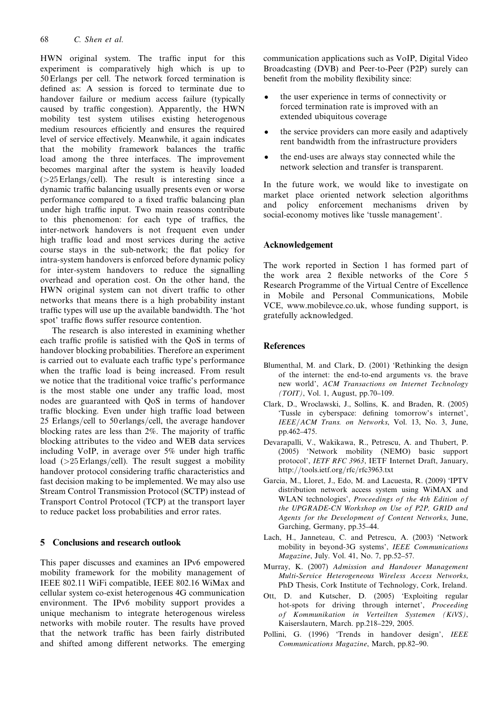HWN original system. The traffic input for this experiment is comparatively high which is up to 50 Erlangs per cell. The network forced termination is defined as: A session is forced to terminate due to handover failure or medium access failure (typically caused by traffic congestion). Apparently, the HWN mobility test system utilises existing heterogenous medium resources efficiently and ensures the required level of service effectively. Meanwhile, it again indicates that the mobility framework balances the traffic load among the three interfaces. The improvement becomes marginal after the system is heavily loaded (>25Erlangs/cell). The result is interesting since a dynamic traffic balancing usually presents even or worse performance compared to a fixed traffic balancing plan under high traffic input. Two main reasons contribute to this phenomenon: for each type of traffics, the inter-network handovers is not frequent even under high traffic load and most services during the active course stays in the sub-network; the flat policy for intra-system handovers is enforced before dynamic policy for inter-system handovers to reduce the signalling overhead and operation cost. On the other hand, the HWN original system can not divert traffic to other networks that means there is a high probability instant traffic types will use up the available bandwidth. The 'hot spot' traffic flows suffer resource contention.

The research is also interested in examining whether each traffic profile is satisfied with the QoS in terms of handover blocking probabilities. Therefore an experiment is carried out to evaluate each traffic type's performance when the traffic load is being increased. From result we notice that the traditional voice traffic's performance is the most stable one under any traffic load, most nodes are guaranteed with QoS in terms of handover traffic blocking. Even under high traffic load between 25 Erlangs/cell to 50 erlangs/cell, the average handover blocking rates are less than 2%. The majority of traffic blocking attributes to the video and WEB data services including VoIP, in average over 5% under high traffic load (>25Erlangs/cell). The result suggest a mobility handover protocol considering traffic characteristics and fast decision making to be implemented. We may also use Stream Control Transmission Protocol (SCTP) instead of Transport Control Protocol (TCP) at the transport layer to reduce packet loss probabilities and error rates.

#### **5 Conclusions and research outlook**

This paper discusses and examines an IPv6 empowered mobility framework for the mobility management of IEEE 802.11 WiFi compatible, IEEE 802.16 WiMax and cellular system co-exist heterogenous 4G communication environment. The IPv6 mobility support provides a unique mechanism to integrate heterogenous wireless networks with mobile router. The results have proved that the network traffic has been fairly distributed and shifted among different networks. The emerging communication applications such as VoIP, Digital Video Broadcasting (DVB) and Peer-to-Peer (P2P) surely can benefit from the mobility flexibility since:

- the user experience in terms of connectivity or forced termination rate is improved with an extended ubiquitous coverage
- the service providers can more easily and adaptively rent bandwidth from the infrastructure providers
- the end-uses are always stay connected while the network selection and transfer is transparent.

In the future work, we would like to investigate on market place oriented network selection algorithms and policy enforcement mechanisms driven by social-economy motives like 'tussle management'.

### **Acknowledgement**

The work reported in Section 1 has formed part of the work area 2 flexible networks of the Core 5 Research Programme of the Virtual Centre of Excellence in Mobile and Personal Communications, Mobile VCE, www.mobilevce.co.uk, whose funding support, is gratefully acknowledged.

### **References**

- Blumenthal, M. and Clark, D. (2001) 'Rethinking the design of the internet: the end-to-end arguments vs. the brave new world', *ACM Transactions on Internet Technology (TOIT)*, Vol. 1, August, pp.70–109.
- Clark, D., Wroclawski, J., Sollins, K. and Braden, R. (2005) 'Tussle in cyberspace: defining tomorrow's internet', *IEEE/ACM Trans. on Networks*, Vol. 13, No. 3, June, pp.462–475.
- Devarapalli, V., Wakikawa, R., Petrescu, A. and Thubert, P. (2005) 'Network mobility (NEMO) basic support protocol', *IETF RFC 3963*, IETF Internet Draft, January, http://tools.ietf.org/rfc/rfc3963.txt
- Garcia, M., Lloret, J., Edo, M. and Lacuesta, R. (2009) 'IPTV distribution network access system using WiMAX and WLAN technologies', *Proceedings of the 4th Edition of the UPGRADE-CN Workshop on Use of P2P, GRID and Agents for the Development of Content Networks*, June, Garching, Germany, pp.35–44.
- Lach, H., Janneteau, C. and Petrescu, A. (2003) 'Network mobility in beyond-3G systems', *IEEE Communications Magazine*, July. Vol. 41, No. 7, pp.52–57.
- Murray, K. (2007) *Admission and Handover Management Multi-Service Heterogeneous Wireless Access Networks*, PhD Thesis, Cork Institute of Technology, Cork, Ireland.
- Ott, D. and Kutscher, D. (2005) 'Exploiting regular hot-spots for driving through internet', *Proceeding of Kommunikation in Verteilten Systemen (KiVS)*, Kaiserslautern, March. pp.218–229, 2005.
- Pollini, G. (1996) 'Trends in handover design', *IEEE Communications Magazine*, March, pp.82–90.